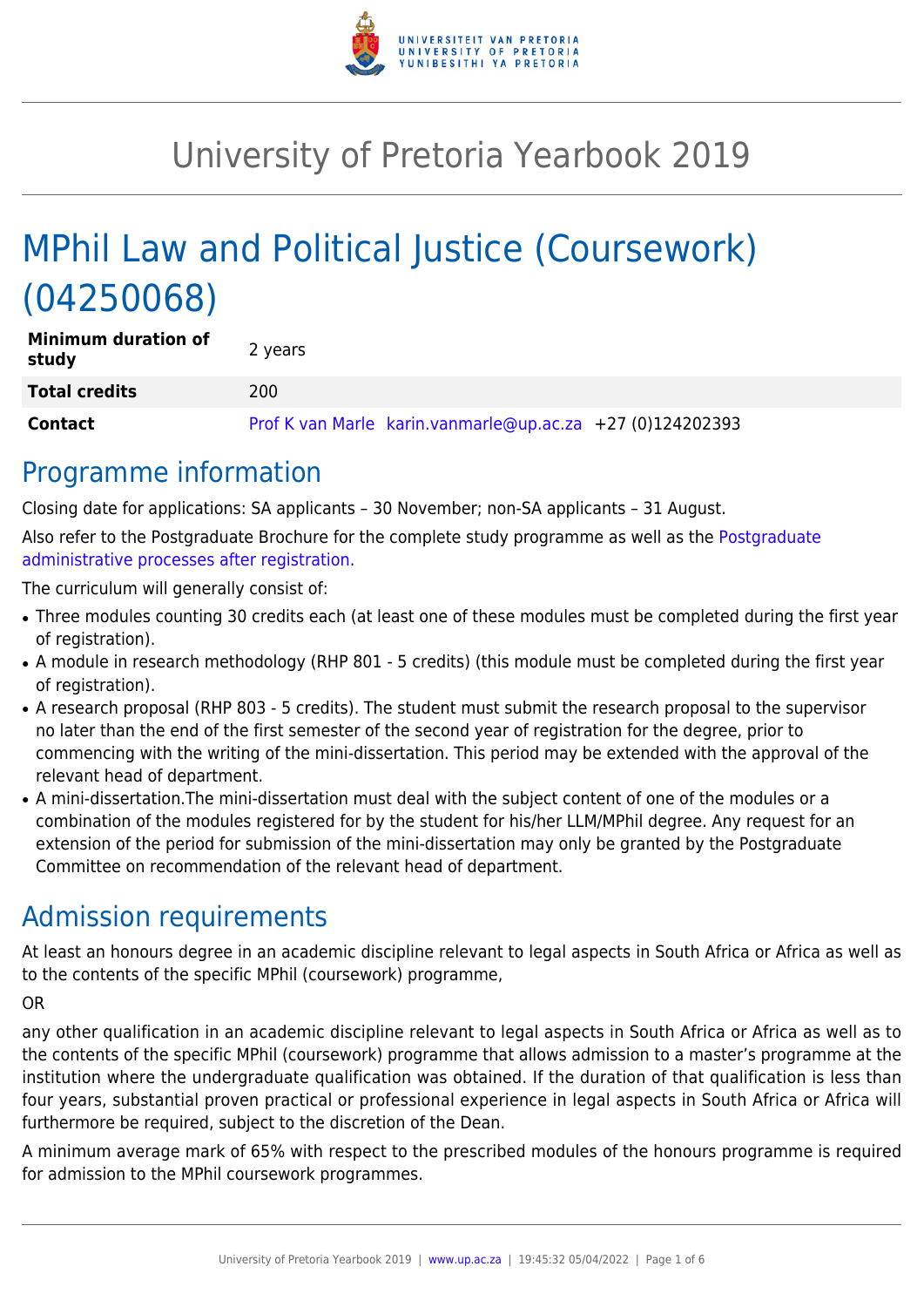

# University of Pretoria Yearbook 2019

# MPhil Law and Political Justice (Coursework) (04250068)

| <b>Minimum duration of</b><br>study | 2 years                                                   |
|-------------------------------------|-----------------------------------------------------------|
| <b>Total credits</b>                | 200                                                       |
| <b>Contact</b>                      | Prof K van Marle karin.vanmarle@up.ac.za +27 (0)124202393 |

## Programme information

Closing date for applications: SA applicants – 30 November; non-SA applicants – 31 August.

Also refer to the Postgraduate Brochure for the complete study programme as well as the [Postgraduate](http://www.up.ac.za/media/shared/10/ZP_Files/post-graduate-administrative-processes-brochures-for-the-faculty-web.zp124870.pdf) [administrative processes after registration.](http://www.up.ac.za/media/shared/10/ZP_Files/post-graduate-administrative-processes-brochures-for-the-faculty-web.zp124870.pdf)

The curriculum will generally consist of:

- Three modules counting 30 credits each (at least one of these modules must be completed during the first year of registration).
- A module in research methodology (RHP 801 5 credits) (this module must be completed during the first year of registration).
- A research proposal (RHP 803 5 credits). The student must submit the research proposal to the supervisor no later than the end of the first semester of the second year of registration for the degree, prior to commencing with the writing of the mini-dissertation. This period may be extended with the approval of the relevant head of department.
- A mini-dissertation. The mini-dissertation must deal with the subject content of one of the modules or a combination of the modules registered for by the student for his/her LLM/MPhil degree. Any request for an extension of the period for submission of the mini-dissertation may only be granted by the Postgraduate Committee on recommendation of the relevant head of department.

## Admission requirements

At least an honours degree in an academic discipline relevant to legal aspects in South Africa or Africa as well as to the contents of the specific MPhil (coursework) programme,

OR

any other qualification in an academic discipline relevant to legal aspects in South Africa or Africa as well as to the contents of the specific MPhil (coursework) programme that allows admission to a master's programme at the institution where the undergraduate qualification was obtained. If the duration of that qualification is less than four years, substantial proven practical or professional experience in legal aspects in South Africa or Africa will furthermore be required, subject to the discretion of the Dean.

A minimum average mark of 65% with respect to the prescribed modules of the honours programme is required for admission to the MPhil coursework programmes.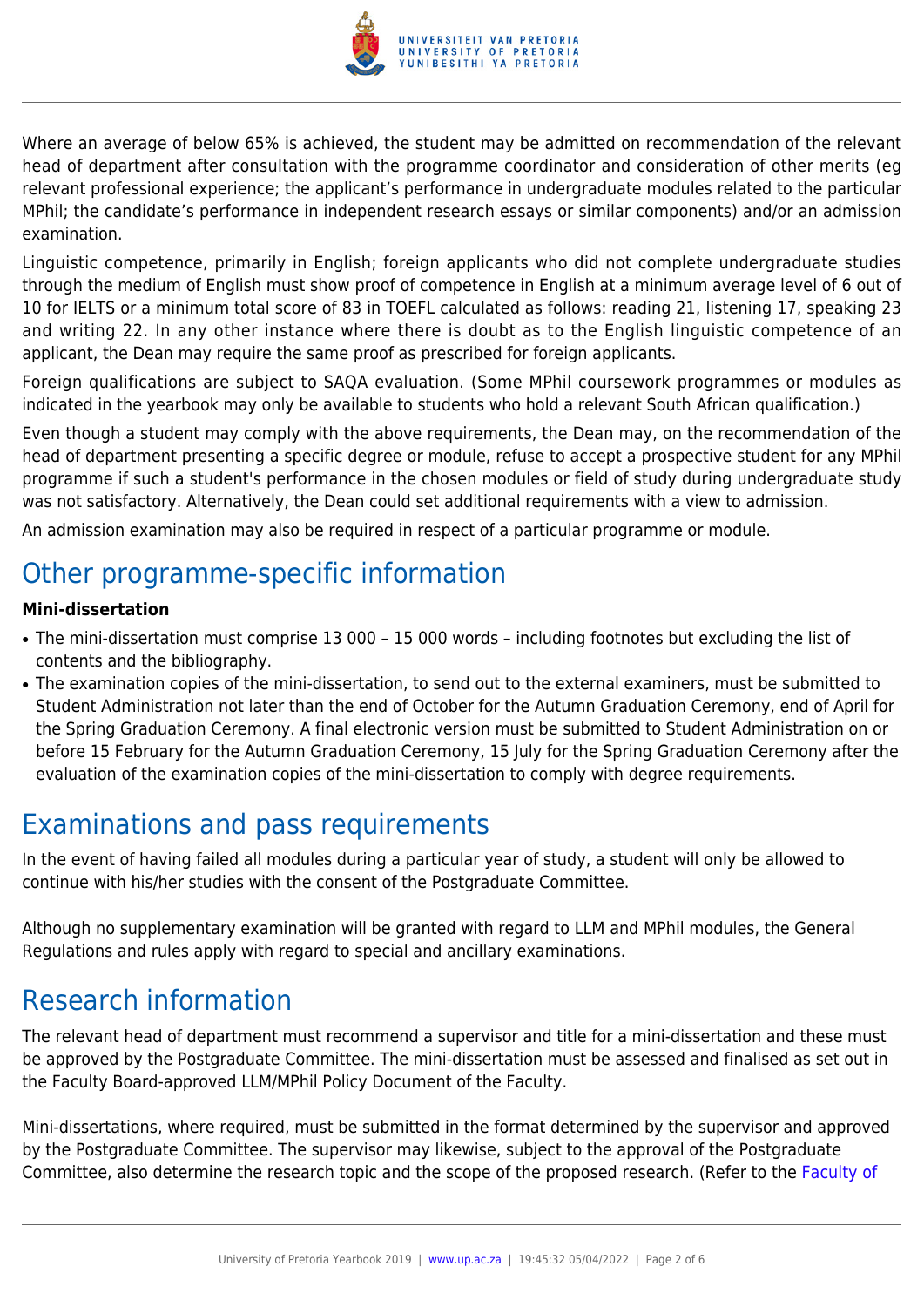

Where an average of below 65% is achieved, the student may be admitted on recommendation of the relevant head of department after consultation with the programme coordinator and consideration of other merits (eg relevant professional experience; the applicant's performance in undergraduate modules related to the particular MPhil; the candidate's performance in independent research essays or similar components) and/or an admission examination.

Linguistic competence, primarily in English; foreign applicants who did not complete undergraduate studies through the medium of English must show proof of competence in English at a minimum average level of 6 out of 10 for IELTS or a minimum total score of 83 in TOEFL calculated as follows: reading 21, listening 17, speaking 23 and writing 22. In any other instance where there is doubt as to the English linguistic competence of an applicant, the Dean may require the same proof as prescribed for foreign applicants.

Foreign qualifications are subject to SAQA evaluation. (Some MPhil coursework programmes or modules as indicated in the yearbook may only be available to students who hold a relevant South African qualification.)

Even though a student may comply with the above requirements, the Dean may, on the recommendation of the head of department presenting a specific degree or module, refuse to accept a prospective student for any MPhil programme if such a student's performance in the chosen modules or field of study during undergraduate study was not satisfactory. Alternatively, the Dean could set additional requirements with a view to admission.

An admission examination may also be required in respect of a particular programme or module.

## Other programme-specific information

## **Mini-dissertation**

- The mini-dissertation must comprise 13 000 15 000 words including footnotes but excluding the list of contents and the bibliography.
- The examination copies of the mini-dissertation, to send out to the external examiners, must be submitted to Student Administration not later than the end of October for the Autumn Graduation Ceremony, end of April for the Spring Graduation Ceremony. A final electronic version must be submitted to Student Administration on or before 15 February for the Autumn Graduation Ceremony, 15 July for the Spring Graduation Ceremony after the evaluation of the examination copies of the mini-dissertation to comply with degree requirements.

## Examinations and pass requirements

In the event of having failed all modules during a particular year of study, a student will only be allowed to continue with his/her studies with the consent of the Postgraduate Committee.

Although no supplementary examination will be granted with regard to LLM and MPhil modules, the General Regulations and rules apply with regard to special and ancillary examinations.

## Research information

The relevant head of department must recommend a supervisor and title for a mini-dissertation and these must be approved by the Postgraduate Committee. The mini-dissertation must be assessed and finalised as set out in the Faculty Board-approved LLM/MPhil Policy Document of the Faculty.

Mini-dissertations, where required, must be submitted in the format determined by the supervisor and approved by the Postgraduate Committee. The supervisor may likewise, subject to the approval of the Postgraduate Committee, also determine the research topic and the scope of the proposed research. (Refer to the [Faculty of](http://www.up.ac.za/media/shared/10/ZP_Files/faculty-regulations-for-the-mini-dissertation.zp124872.pdf)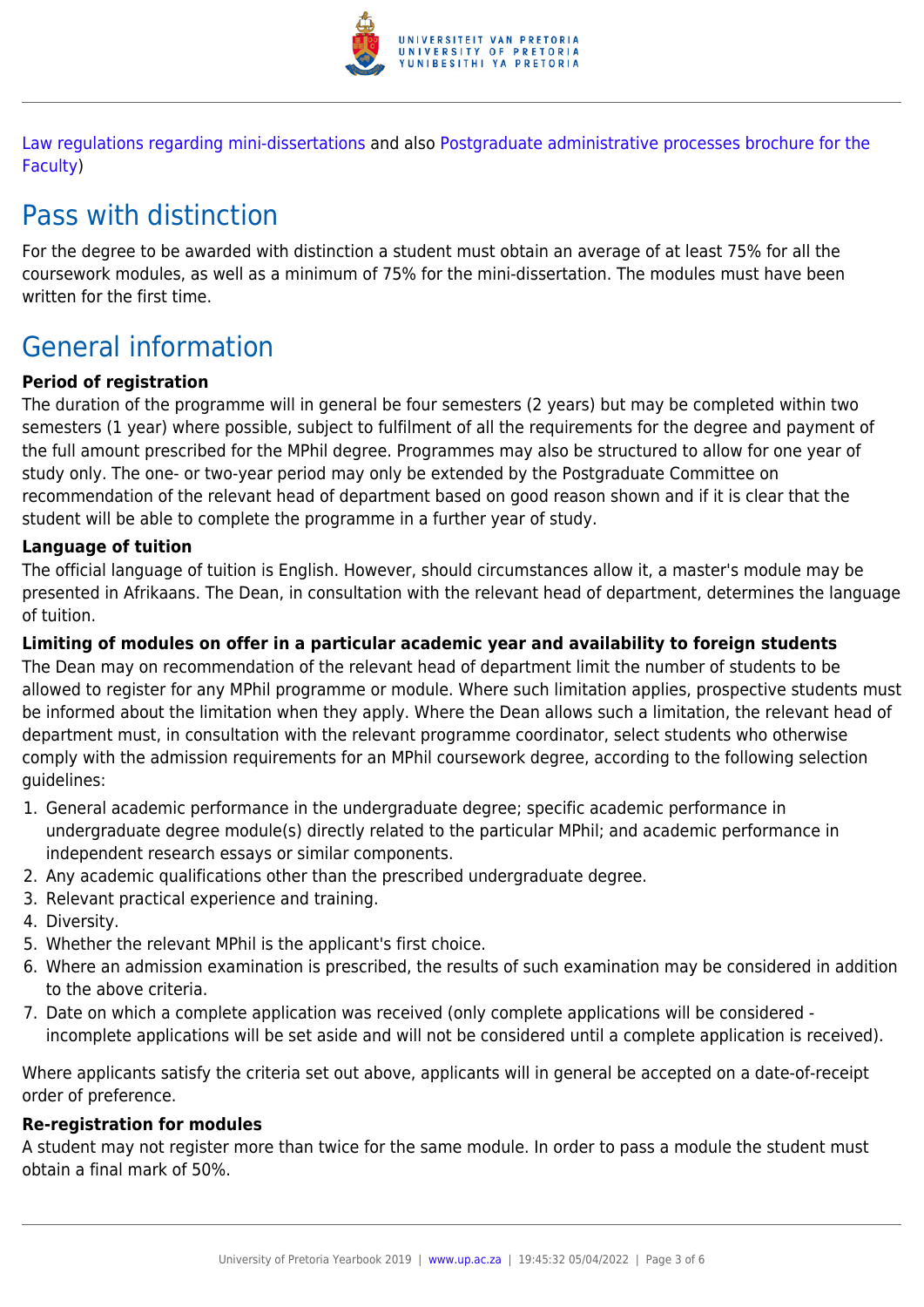

[Law regulations regarding mini-dissertations](http://www.up.ac.za/media/shared/10/ZP_Files/faculty-regulations-for-the-mini-dissertation.zp124872.pdf) and also [Postgraduate administrative processes brochure for the](http://www.up.ac.za/media/shared/10/ZP_Files/post-graduate-administrative-processes-brochures-for-the-faculty-web.zp124870.pdf) [Faculty](http://www.up.ac.za/media/shared/10/ZP_Files/post-graduate-administrative-processes-brochures-for-the-faculty-web.zp124870.pdf))

## Pass with distinction

For the degree to be awarded with distinction a student must obtain an average of at least 75% for all the coursework modules, as well as a minimum of 75% for the mini-dissertation. The modules must have been written for the first time.

## General information

## **Period of registration**

The duration of the programme will in general be four semesters (2 years) but may be completed within two semesters (1 year) where possible, subject to fulfilment of all the requirements for the degree and payment of the full amount prescribed for the MPhil degree. Programmes may also be structured to allow for one year of study only. The one- or two-year period may only be extended by the Postgraduate Committee on recommendation of the relevant head of department based on good reason shown and if it is clear that the student will be able to complete the programme in a further year of study.

### **Language of tuition**

The official language of tuition is English. However, should circumstances allow it, a master's module may be presented in Afrikaans. The Dean, in consultation with the relevant head of department, determines the language of tuition.

### **Limiting of modules on offer in a particular academic year and availability to foreign students**

The Dean may on recommendation of the relevant head of department limit the number of students to be allowed to register for any MPhil programme or module. Where such limitation applies, prospective students must be informed about the limitation when they apply. Where the Dean allows such a limitation, the relevant head of department must, in consultation with the relevant programme coordinator, select students who otherwise comply with the admission requirements for an MPhil coursework degree, according to the following selection guidelines:

- 1. General academic performance in the undergraduate degree; specific academic performance in undergraduate degree module(s) directly related to the particular MPhil; and academic performance in independent research essays or similar components.
- 2. Any academic qualifications other than the prescribed undergraduate degree.
- 3. Relevant practical experience and training.
- 4. Diversity.
- 5. Whether the relevant MPhil is the applicant's first choice.
- 6. Where an admission examination is prescribed, the results of such examination may be considered in addition to the above criteria.
- 7. Date on which a complete application was received (only complete applications will be considered incomplete applications will be set aside and will not be considered until a complete application is received).

Where applicants satisfy the criteria set out above, applicants will in general be accepted on a date-of-receipt order of preference.

## **Re-registration for modules**

A student may not register more than twice for the same module. In order to pass a module the student must obtain a final mark of 50%.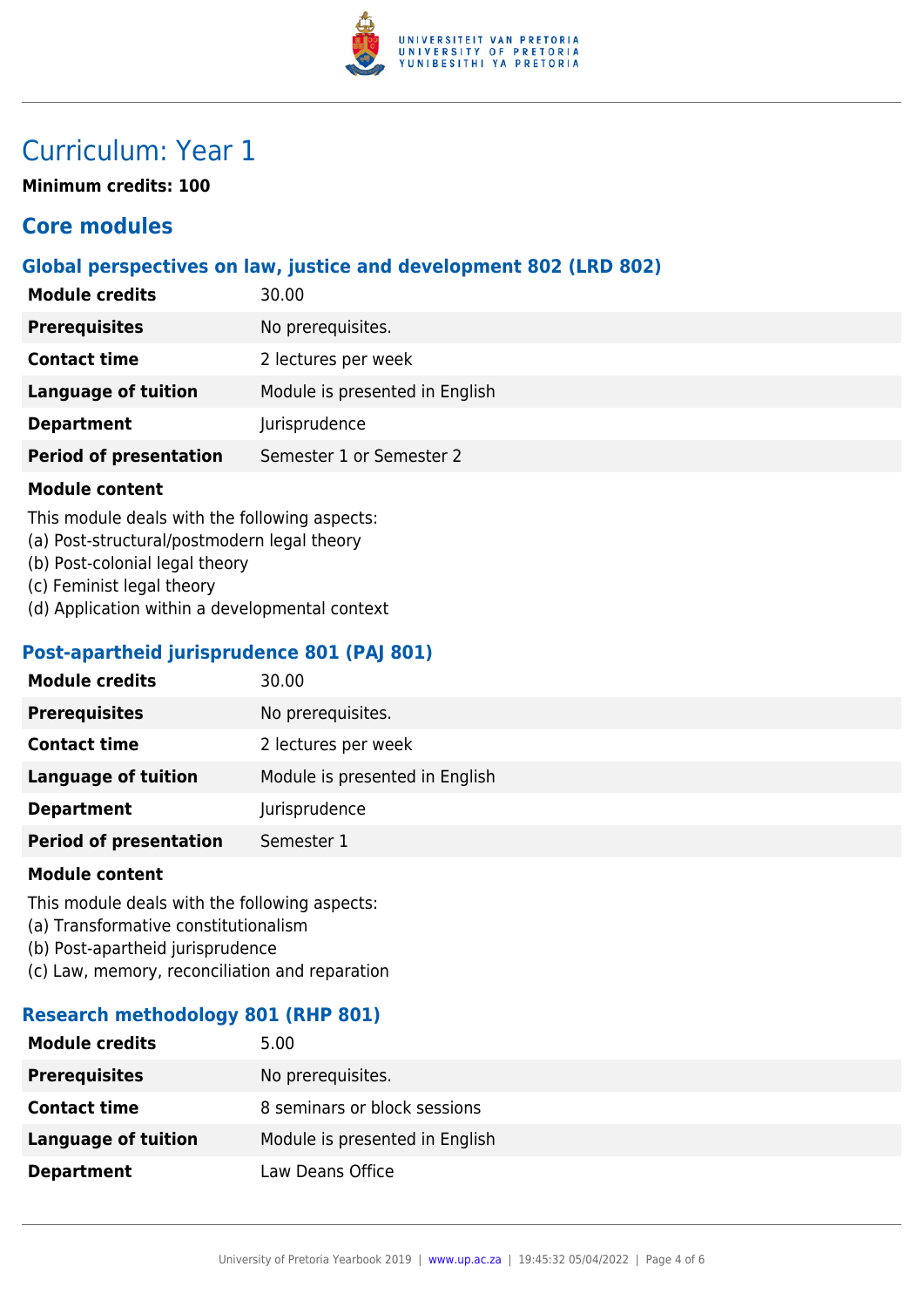

## Curriculum: Year 1

**Minimum credits: 100**

## **Core modules**

## **Global perspectives on law, justice and development 802 (LRD 802)**

| <b>Module credits</b>         | 30.00                          |
|-------------------------------|--------------------------------|
| <b>Prerequisites</b>          | No prerequisites.              |
| <b>Contact time</b>           | 2 lectures per week            |
| <b>Language of tuition</b>    | Module is presented in English |
| <b>Department</b>             | Jurisprudence                  |
| <b>Period of presentation</b> | Semester 1 or Semester 2       |

#### **Module content**

This module deals with the following aspects:

- (a) Post-structural/postmodern legal theory
- (b) Post-colonial legal theory
- (c) Feminist legal theory
- (d) Application within a developmental context

### **Post-apartheid jurisprudence 801 (PAJ 801)**

| <b>Module credits</b>         | 30.00                          |
|-------------------------------|--------------------------------|
| <b>Prerequisites</b>          | No prerequisites.              |
| <b>Contact time</b>           | 2 lectures per week            |
| <b>Language of tuition</b>    | Module is presented in English |
| <b>Department</b>             | Jurisprudence                  |
| <b>Period of presentation</b> | Semester 1                     |
|                               |                                |

#### **Module content**

This module deals with the following aspects:

- (a) Transformative constitutionalism
- (b) Post-apartheid jurisprudence
- (c) Law, memory, reconciliation and reparation

## **Research methodology 801 (RHP 801)**

| <b>Module credits</b>      | 5.00                           |
|----------------------------|--------------------------------|
| <b>Prerequisites</b>       | No prerequisites.              |
| <b>Contact time</b>        | 8 seminars or block sessions   |
| <b>Language of tuition</b> | Module is presented in English |
| <b>Department</b>          | Law Deans Office               |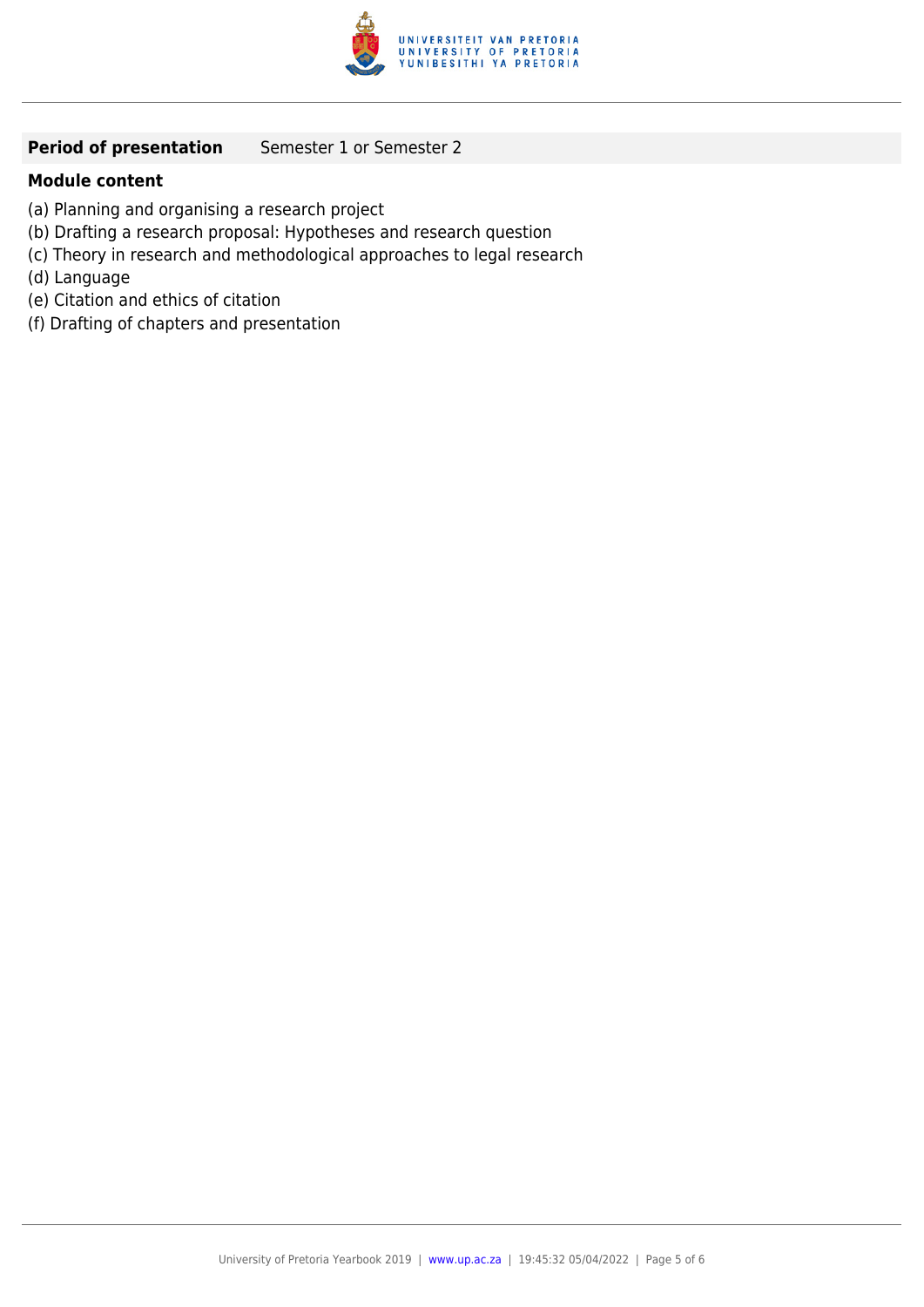

## **Period of presentation** Semester 1 or Semester 2

### **Module content**

- (a) Planning and organising a research project
- (b) Drafting a research proposal: Hypotheses and research question
- (c) Theory in research and methodological approaches to legal research
- (d) Language
- (e) Citation and ethics of citation
- (f) Drafting of chapters and presentation